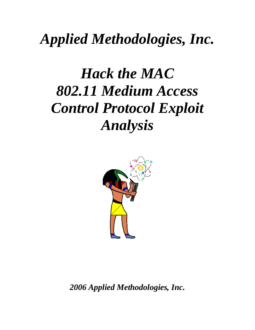# *Applied Methodologies, Inc.*

# *Hack the MAC 802.11 Medium Access Control Protocol Exploit Analysis*



*2006 Applied Methodologies, Inc.*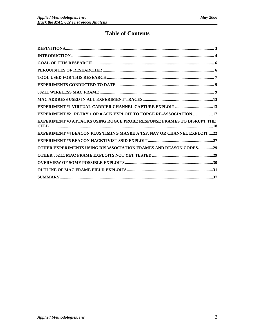# **Table of Contents**

| EXPERIMENT #2 RETRY 1 OR 0 ACK EXPLOIT TO FORCE RE-ASSOCIATION 17             |
|-------------------------------------------------------------------------------|
| <b>EXPERIMENT #3 ATTACKS USING ROGUE PROBE RESPONSE FRAMES TO DISRUPT THE</b> |
| EXPERIMENT #4 BEACON PLUS TIMING MAYBE A TSF, NAV OR CHANNEL EXPLOIT 22       |
|                                                                               |
| <b>OTHER EXPERIMENTS USING DISASSOCIATION FRAMES AND REASON CODES29</b>       |
|                                                                               |
|                                                                               |
|                                                                               |
|                                                                               |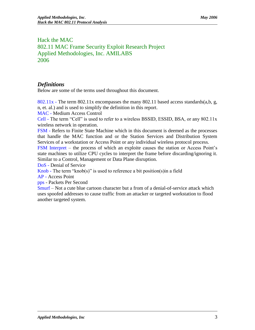# Hack the MAC 802.11 MAC Frame Security Exploit Research Project Applied Methodologies, Inc. AMILABS 2006

# <span id="page-2-0"></span>*Definitions*

Below are some of the terms used throughout this document.

802.11x - The term 802.11x encompasses the many 802.11 based access standards(a,b, g, n, et. al.) and is used to simplify the definition in this report.

MAC - Medium Access Control

Cell - The term "Cell" is used to refer to a wireless BSSID, ESSID, BSA, or any 802.11x wireless network in operation.

FSM - Refers to Finite State Machine which in this document is deemed as the processes that handle the MAC function and or the Station Services and Distribution System Services of a workstation or Access Point or any individual wireless protocol process.

FSM Interpret – the process of which an exploite causes the station or Access Point's state machines to utilize CPU cycles to interpret the frame before discarding/ignoring it. Similar to a Control, Management or Data Plane disruption.

DoS - Denial of Service

Knob - The term "knob(s)" is used to reference a bit position(s) in a field AP - Access Point

pps - Packets Per Second

Smurf – Not a cute blue cartoon character but a from of a denial-of-service attack which uses spoofed addresses to cause traffic from an attacker or targeted workstation to flood another targeted system.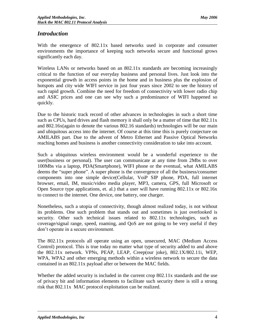# <span id="page-3-0"></span>*Introduction*

With the emergence of 802.11x based networks used in corporate and consumer environments the importance of keeping such networks secure and functional grows significantly each day.

Wireless LANs or networks based on an 802.11x standards are becoming increasingly critical to the function of our everyday business and personal lives. Just look into the exponential growth in access points in the home and in business plus the explosion of hotspots and city wide WIFI service in just four years since 2002 to see the history of such rapid growth. Combine the need for freedom of connectivity with lower radio chip and ASIC prices and one can see why such a predominance of WIFI happened so quickly.

Due to the historic track record of other advances in technologies in such a short time such as CPUs, hard drives and flash memory it shall only be a matter of time that 802.11x and 802.16x(again to denote the various 802.16 standards) technologies will be our main and ubiquitous access into the internet. Of course at this time this is purely conjecture on AMILABS part. Due to the advent of Metro Ethernet and Passive Optical Networks reaching homes and business is another connectivity consideration to take into account.

Such a ubiquitous wireless environment would be a wonderful experience to the user(business or personal). The user can communicate at any time from 2Mbs to over 100Mbs via a laptop, PDA(Smartphone), WIFI phone or the eventual, what AMILABS deems the "super phone". A super phone is the convergence of all the business/consumer components into one simple device(Cellular, VoiP SIP phone, PDA, full internet browser, email, IM, music/video media player, MP3, camera, GPS, full Microsoft or Open Source type applications, et. al.) that a user will have running 802.11x or 802.16x to connect to the internet. One device, one battery, one charger.

Nonetheless, such a utopia of connectivity, though almost realized today, is not without its problems. One such problem that stands out and sometimes is just overlooked is security. Other such technical issues related to 802.11x technologies, such as coverage/signal range, speed, roaming, and QoS are not going to be very useful if they don't operate in a secure environment.

The 802.11x protocols all operate using an open, unsecured, MAC (Medium Access Control) protocol. This is true today no matter what type of security added to and above the 802.11x network. VPNs, PEAP, LEAP, Creep(our joke), 802.1X/802.11i, WEP, WPA, WPA2 and other emerging methods within a wireless network to secure the data contained in an 802.11x payload after or between the MAC fields.

Whether the added security is included in the current crop 802.11x standards and the use of privacy bit and information elements to facilitate such security there is still a strong risk that 802.11x MAC protocol exploitation can be realized.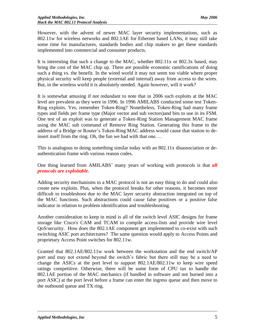However, with the advent of newer MAC layer security implementations, such as 802.11w for wireless networks and 802.1AE for Ethernet based LANs, it may still take some time for manufactures, standards bodies and chip makers to get these standards implemented into commercial and consumer products.

It is interesting that such a change to the MAC, whether 802.11x or 802.3x based, may bring the cost of the MAC chip up. There are possible economic ramifications of doing such a thing vs. the benefit. In the wired world it may not seem too viable where proper physical security will keep people (external and internal) away from access to the wires. But, in the wireless world it is absolutely needed. Again however, will it work?

It is somewhat amusing if not redundant to note that in 2006 such exploits at the MAC level are prevalent as they were in 1996. In 1996 AMILABS conducted some test Token-Ring exploits. Yes, remember Token-Ring? Nonetheless, Token-Ring had many frame types and fields per frame type (Major vector and sub vectors)and bits to use in its FSM. One test of an exploit was to generate a Token-Ring Station Management MAC frame using the MAC sub command of Remove Ring Station. Generating this frame to the address of a Bridge or Router's Token-Ring MAC address would cause that station to deinsert itself from the ring. Oh, the fun we had with that one….

This is analogous to doing something similar today with an 802.11x disassociation or deauthentication frame with various reason codes.

One thing learned from AMILABS' many years of working with protocols is that *all protocols are exploitable.* 

Adding security mechanisms to a MAC protocol is not an easy thing to do and could also create new exploits. Plus, when the protocol breaks for other reasons, it becomes more difficult to troubleshoot due to the MAC layer security abstraction integrated on top of the MAC functions. Such abstractions could cause false positives or a positive false indicator in relation to problem identification and troubleshooting.

Another consideration to keep in mind is all of the switch level ASIC designs for frame storage like Cisco's CAM and TCAM to compile access-lists and provide wire level QoS/security. How does the 802.1AE component get implemented to co-exist with such switching ASIC port architectures? The same question would apply to Access Points and proprietary Access Point switches for 802.11w.

Granted that 802.1AE/802.11w work between the workstation and the end switch/AP port and may not extend beyond the switch's fabric but there still may be a need to change the ASICs at the port level to support 802.1AE/802.11w to keep wire speed ratings competitive. Otherwise, there will be some form of CPU tax to handle the 802.1AE portion of the MAC mechanics (if handled in software and not burned into a port ASIC) at the port level before a frame can enter the ingress queue and then move to the outbound queue and TX ring.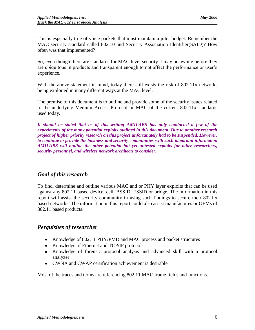This is especially true of voice packets that must maintain a jitter budget. Remember the MAC security standard called 802.10 and Security Association Identifier(SAID)? How often was that implemented?

So, even though there are standards for MAC level security it may be awhile before they are ubiquitous in products and transparent enough to not affect the performance or user's experience.

With the above statement in mind, today there still exists the risk of 802.11x networks being exploited in many different ways at the MAC level.

The premise of this document is to outline and provide some of the security issues related to the underlying Medium Access Protocol or MAC of the current 802.11x standards used today.

*It should be stated that as of this writing AMILABS has only conducted a few of the experiments of the many potential exploits outlined in this document. Due to another research project of higher priority research on this project unfortunately had to be suspended. However, to continue to provide the business and security communities with such important information AMILABS will outline the other potential but yet untested exploits for other researchers, security personnel, and wireless network architects to consider.*

# <span id="page-5-0"></span>*Goal of this research*

To find, determine and outline various MAC and or PHY layer exploits that can be used against any 802.11 based device, cell, BSSID, ESSID or bridge. The information in this report will assist the security community in using such findings to secure their 802.llx based networks. The information in this report could also assist manufactures or OEMs of 802.11 based products.

# <span id="page-5-1"></span>*Perquisites of researcher*

- Knowledge of 802.11 PHY/PMD and MAC process and packet structures
- Knowledge of Ethernet and TCP/IP protocols
- Knowledge of forensic protocol analysis and advanced skill with a protocol analyzer
- CWNA and CWAP certification achievement is desirable

Most of the traces and terms are referencing 802.11 MAC frame fields and functions.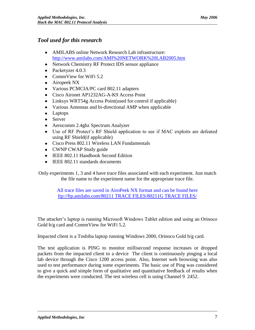# <span id="page-6-0"></span>*Tool used for this research*

- AMILABS online Network Research Lab infrastructure: <http://www.amilabs.com/AMI%20NETWORK%20LAB2005.htm>
- Network Chemistry RF Protect IDS sensor appliance
- Packetyzer 4.0.3
- CommView for WiFi 5.2
- Airopeek NX
- Various PCMCIA/PC card 802.11 adapters
- Cisco Aironet AP1232AG-A-K9 Access Point
- Linksys WRT54g Access Point(used for control if applicable)
- Various Antennas and bi-directional AMP when applicable
- Laptops
- Server
- Aerocomm 2.4ghz Spectrum Analyzer
- Use of RF Protect's RF Shield application to see if MAC exploits are defeated using RF Shield(if applicable)
- Cisco Press 802.11 Wireless LAN Fundamentals
- CWNP CWAP Study guide
- IEEE 802.11 Handbook Second Edition
- IEEE 802.11 standards documents

Only experiments 1, 3 and 4 have trace files associated with each experiment. Just match the file name to the experiment name for the appropriate trace file.

> [All trace files are saved in AiroPeek NX format and can be found here](ftp://ftp.amilabs.com/80211 TRACE FILES/80211G TRACE FILES/) <ftp://ftp.amilabs.com/80211 TRACE FILES/80211G TRACE FILES/>

The attacker's laptop is running Microsoft Windows Tablet edition and using an Orinoco Gold b/g card and CommView for WiFi 5.2.

Impacted client is a Toshiba laptop running Windows 2000, Orinoco Gold b/g card.

The test application is PING to monitor millisecond response increases or dropped packets from the impacted client to a device The client is continuously pinging a local lab device through the Cisco 1200 access point. Also, Internet web browsing was also used to test performance during some experiments. The basic use of Ping was considered to give a quick and simple form of qualitative and quantitative feedback of results when the experiments were conducted. The test wireless cell is using Channel 9 2452.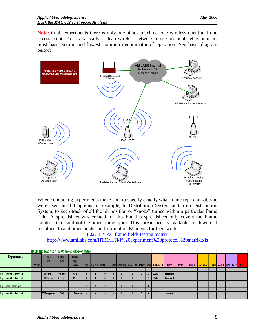**Note:** in all experiments there is only one attack machine, one wireless client and one access point. This is basically a clean wireless network to see protocol behavior in its most basic setting and lowest common denominator of operation. See basic diagram below:



When conducting experiments make sure to specify exactly what frame type and subtype were used and bit options for example, to Distribution System and from Distribution System, to keep track of all the bit position or "knobs" turned within a particular frame field. A spreadsheet was created for this but this spreadsheet only covers the Frame Control fields and not the other frame types. This spreadsheet is available for download for others to add other fields and Information Elements for their work.

[802.11 MAC frame fields testing matrix](http://www.amilabs.com/HTM/HTM%20experiment%20protocol%20matrix.xls)

<http://www.amilabs.com/HTM/HTM%20experiment%20protocol%20matrix.xls>

|                            | HACK THE MAC 802.11 MAC Protocol Exploit Matrix |               |             |                       |  |  |  |                                                                             |  |       |           |        |        |  |                                    |            |
|----------------------------|-------------------------------------------------|---------------|-------------|-----------------------|--|--|--|-----------------------------------------------------------------------------|--|-------|-----------|--------|--------|--|------------------------------------|------------|
| <b>Experiments</b>         |                                                 | Type          | Subtype     | <b>Frame</b>          |  |  |  |                                                                             |  |       |           |        |        |  |                                    |            |
|                            |                                                 | <b>Bits</b>   | <b>Bits</b> | <b>Type</b>           |  |  |  |                                                                             |  |       |           |        |        |  |                                    |            |
|                            | Prot. Ver.                                      |               |             | Name                  |  |  |  | To DS From DS More Frag Retry Power Mgt More Data Protect Order Duration ID |  |       | Addr 1    | Addr 2 | Addr 3 |  | Sequence Control Addr 4 Frame body | <b>FCS</b> |
|                            |                                                 |               |             |                       |  |  |  |                                                                             |  |       |           |        |        |  |                                    |            |
| operiment #1 packet type 1 |                                                 | 01 Control    | 1100 or 12  | <b>CTS</b>            |  |  |  |                                                                             |  | 32767 | broadcast |        |        |  |                                    |            |
| periment #1 packet type 2  |                                                 | 01 Control    | 1011 or 11  | <b>RTS</b>            |  |  |  |                                                                             |  | 32767 | broadcast |        |        |  |                                    |            |
|                            |                                                 |               |             |                       |  |  |  |                                                                             |  |       |           |        |        |  |                                    |            |
| perimen#2 packet type 1.   |                                                 |               |             |                       |  |  |  |                                                                             |  |       |           |        |        |  |                                    |            |
|                            |                                                 |               |             |                       |  |  |  |                                                                             |  |       |           |        |        |  |                                    |            |
| (periment #3 packet type 1 |                                                 | 00 Management | 0101        | <b>Probe Response</b> |  |  |  |                                                                             |  |       | broadcast |        |        |  |                                    |            |
|                            |                                                 |               |             |                       |  |  |  |                                                                             |  |       |           |        |        |  |                                    |            |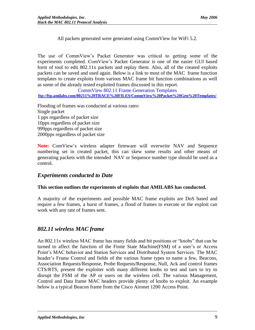All packets generated were generated using CommView for WiFi 5.2.

The use of CommView's Packet Generator was critical to getting some of the experiments completed. ComView's Packet Generator is one of the easier GUI based form of tool to edit 802.11x packets and replay them. Also, all of the created exploits packets can be saved and used again. Below is a link to most of the MAC frame function templates to create exploits from various MAC frame bit function combinations as well as some of the already tested exploited frames discussed in this report.

[CommView 802.11 Frame Generation Templates](ftp://ftp.amilabs.com/80211 TRACE FILES/CommView Packet Gen Templates/)

**[ftp://ftp.amilabs.com/80211%20TRACE%20FILES/CommView%20Packet%20Gen%20Templates/](ftp://ftp.amilabs.com/80211 TRACE FILES/CommView Packet Gen Templates/)**

Flooding of frames was conducted at various rates: Single packet 1 pps regardless of packet size 10pps regardless of packet size 999pps regardless of packet size 2000pps regardless of packet size

**Note:** ComView's wireless adapter firmware will overwrite NAV and Sequence numbering set in created packet, this can skew some results and other means of generating packets with the intended NAV or Sequence number type should be used as a control.

# <span id="page-8-0"></span>*Experiments conducted to Date*

#### **This section outlines the experiments of exploits that AMILABS has conducted.**

A majority of the experiments and possible MAC frame exploits are DoS based and require a few frames, a burst of frames, a flood of frames to execute or the exploit can work with any rate of frames sent.

# <span id="page-8-1"></span>*802.11 wireless MAC frame*

An 802.11x wireless MAC frame has many fields and bit positions or "knobs" that can be turned to affect the function of the Finite State Machine(FSM) of a user's or Access Point's MAC behavior and Station Services and Distributed System Services. The MAC header's Frame Control and fields of the various frame types to name a few, Beacons, Association Requests/Response, Probe Requests/Response, Null, Ack and control frames CTS/RTS, present the exploiter with many different knobs to test and turn to try to disrupt the FSM of the AP or users on the wireless cell. The various Management, Control and Data frame MAC headers provide plenty of knobs to exploit. An example below is a typical Beacon frame from the Cisco Aironet 1200 Access Point.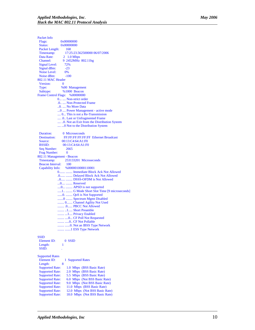Packet Info<br>Flags: Flags: 0x00000000<br>Status: 0x00000000 0x00000000 Packet Length: 168 Timestamp: 17:25:23.562500000 06/07/2006<br>Data Rate: 2 1.0 Mbps Data Rate:  $2 \t1.0 \text{ Mbps}$ <br>Channel:  $9 \t2452 \text{MHz}$ 9 2452MHz 802.11bg Signal Level: 72% Signal dBm:  $-23$ Noise Level: Noise dBm: -100 802.11 MAC Header Version: Type: %00 Management<br>Subtype: %1000 Beacon %1000 Beacon Frame Control Flags: %00000000 0... .... Non -strict order .0.. .... Non -Protected Frame ..0. .... No More Data ...0 .... Power Management - active mode .... 0... This is not a Re -Transmission .... .0.. Last or Unfragmented Frame .... ..0. Not an Exit from the Distribution System .... ...0 Not to the Distribution System Duration: 0 Microseconds Destination: FF:FF:FF:FF:FF:FF:FF Ethernet Broadcast<br>Source: 00:13:C4:64:A1:F0 Source: 00:13:C4:64:A1:F0<br>BSSID: 00:13:C4:64:A1:F0 00:13:C4:64:A1:F0<br>2665 Seq Number: Frag Number: 0 802.11 Management - Beacon Timestamp: 253133201 Microseconds Beacon Interval: 100 Capability Info: %0000010000110001 0....... ........ Immediate Block Ack Not Allowed .0...... ........ Delayed Block Ack Not Allowed ..0..... ........ DSSS -OFDM is Not Allowed ...0.... ........ Reserved ....0... ........ APSD is not supported .....1.. ........ G Mode Short Slot Time [9 microseconds] ......0. ........ QoS is Not Supported .......0 ........ Spectrum Mgmt Disabled ........ 0....... Channel Agility Not Used ........ .0...... PBCC Not Allowed ........ ..1..... Short Preamble ........ ...1.... Privacy Enabled ........ ....0... CF Poll Not Requested ........ .....0.. CF Not Pollable ........ ....... 0. Not an IBSS Type Network ........ .......1 ESS Type Network

#### **SSID**

| Element ID:            | $0$ SSID                       |
|------------------------|--------------------------------|
| Length:                |                                |
| SSID:                  |                                |
| <b>Supported Rates</b> |                                |
| Element ID:            | 1 Supported Rates              |
| Length:                | 8                              |
| <b>Supported Rate:</b> | 1.0 Mbps (BSS Basic Rate)      |
| <b>Supported Rate:</b> | 2.0 Mbps (BSS Basic Rate)      |
| <b>Supported Rate:</b> | 5.5 Mbps (BSS Basic Rate)      |
| <b>Supported Rate:</b> | 6.0 Mbps (Not BSS Basic Rate)  |
| <b>Supported Rate:</b> | 9.0 Mbps (Not BSS Basic Rate)  |
| <b>Supported Rate:</b> | 11.0 Mbps (BSS Basic Rate)     |
| <b>Supported Rate:</b> | 12.0 Mbps (Not BSS Basic Rate) |
| <b>Supported Rate:</b> | 18.0 Mbps (Not BSS Basic Rate) |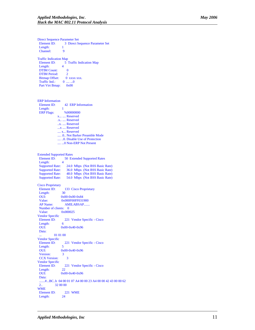Direct Sequence Parameter Set<br>Element ID: 3 Direct Set 3 Direct Sequence Parameter Set Length: 1<br>Channel: 9 Channel: Traffic Indication Map Element ID: 5 Traffic Indication Map<br>Length: 4 Length: DTIM Count: 0 DTIM Period: 2  $\begin{tabular}{ll} \bf{Bitmap } {\bf Offset:} & 0 {\bf \;xxxx \;xxx.}\\ {\bf Traffic Ind.:} & 0 {\bf \;....\;...0} \end{tabular}$ Traffic Ind.: Part Virt Bmap: 0x00 ERP Information Element ID: 42 ERP Information Length: 1<br>ERP Flags:  $\frac{\%00000000}{\%000000000}$ ERP Flags: x... .... Reserved .x.. .... Reserved ..x. .... Reserved ...x .... Reserved .... x... Reserved .... .0.. Not Barker Preamble Mode .... ..0. Disable Use of Protection .... ...0 Non-ERP Not Present Extended Supported Rates<br>Element ID: 50 Ex 50 Extended Supported Rates Length: 4<br>Supported Rate: Supported Rate: 24.0 Mbps (Not BSS Basic Rate)<br>Supported Rate: 36.0 Mbps (Not BSS Basic Rate) Supported Rate: 36.0 Mbps (Not BSS Basic Rate)<br>Supported Rate: 48.0 Mbps (Not BSS Basic Rate) 48.0 Mbps (Not BSS Basic Rate) Supported Rate: 54.0 Mbps (Not BSS Basic Rate) Cisco Proprietary Element ID: 133 Cisco Proprietary<br>Length: 30 Length: OUI: 0x00-0x00-0x84<br>Value: 0x000F00FF031 0x000F00FF031900 AP Name: AMILABSAP....... Number of clients: 0 Value: 0x000025 Vendor Specific Element ID: 221 Vendor Specific - Cisco<br>Length: 6 Length: OUI: 0x00-0x40-0x96 Data: 01 01 00 Vendor Specific 221 Vendor Specific - Cisco Length: 5 OUI: 0x00-0x40-0x96<br>Version: 3 Version: CCX Version: 3 Vendor Specific Element ID: 221 Vendor Specific - Cisco Length: 22 OUI: 0x00-0x40-0x96 Data: .......#...BC..b 04 00 01 07 A4 00 00 23 A4 00 00 42 43 00 00 62<br>2... 32 00 00 32 00 00 WME Element ID: 221 WME Length: 24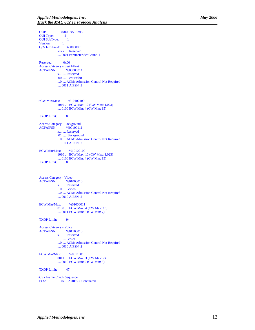OUI: 0x00-0x50-0xF2 OUI Type: 2 OUI SubType: 1<br>Version: 1 Version: QoS Info Field: %00000001 xxxx .... Reserved .... 0001 Parameter Set Count: 1 Reserved: 0x00 Access Category - Best Effort<br>ACI/AIFSN:  $\frac{\%000000011}{\%000000011}$ ACI/AIFSN: x... .... Reserved .00. .... Best Effort ...0 .... ACM: Admission Control Not Required .... 0011 AIFSN: 3 ECW Min/Max: %10100100 1010 .... ECW Max: 10 (CW Max: 1,023) .... 0100 ECW Min: 4 (CW Min: 15) TXOP Limit: 0 Access Category - Background<br>ACI/AIFSN:  $\frac{\%00100111}{\%00100111}$ ACI/AIFSN: x... .... Reserved .01. .... Background ...0 .... ACM: Admission Control Not Required .... 0111 AIFSN: 7 ECW Min/Max: %10100100 1010 .... ECW Max: 10 (CW Max: 1,023) .... 0100 ECW Min: 4 (CW Min: 15) TXOP Limit: 0 Access Category - Video ACI/AIFSN: %01000010 x... .... Reserved .10. .... Video ...0 .... ACM: Admission Control Not Required .... 0010 AIFSN: 2 ECW Min/Max: %01000011 0100 .... ECW Max: 4 (CW Max: 15) .... 0011 ECW Min: 3 (CW Min: 7) TXOP Limit: 94 Access Category - Voice<br>ACI/AIFSN: %01100010 ACI/AIFSN: x... .... Reserved .11. .... Voice ...0 .... ACM: Admission Control Not Required .... 0010 AIFSN: 2 ECW Min/Max: %00110010 0011 .... ECW Max: 3 (CW Max: 7) .... 0010 ECW Min: 2 (CW Min: 3) TXOP Limit: 47 FCS - Frame Check Sequence FCS: 0xB6A70E5C Calculated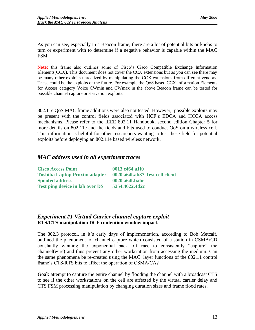As you can see, especially in a Beacon frame, there are a lot of potential bits or knobs to turn or experiment with to determine if a negative behavior is capable within the MAC FSM.

**Note:** this frame also outlines some of Cisco's Cisco Compatible Exchange Information Elements(CCX). This document does not cover the CCX extensions but as you can see there may be many other exploits unrealized by manipulating the CCX extensions from different vendors. These could be the exploits of the future. For example the QoS based CCX Information Elements for Access category Voice CWmin and CWmax in the above Beacon frame can be tested for possible channel capture or starvation exploits.

802.11e QoS MAC frame additions were also not tested. However, possible exploits may be present with the control fields associated with HCF's EDCA and HCCA access mechanisms. Please refer to the IEEE 802.11 Handbook, second edition Chapter 5 for more details on 802.11e and the fields and bits used to conduct QoS on a wireless cell. This information is helpful for other researchers wanting to test these field for potential exploits before deploying an 802.11e based wireless network.

# <span id="page-12-0"></span>*MAC address used in all experiment traces*

| <b>Cisco Access Point</b>              | 0013.c464.a1f0                  |
|----------------------------------------|---------------------------------|
| <b>Toshiba Laptop Proxim adapter</b>   | 0020.a64f.ab37 Test cell client |
| <b>Spoofed address</b>                 | 0020.a64f.babe                  |
| <b>Test ping device in lab over DS</b> | 5254.4022.4d2c                  |

# <span id="page-12-1"></span>*Experiment #1 Virtual Carrier channel capture exploit* **RTS/CTS manipulation DCF contention window impact.**

The 802.3 protocol, in it's early days of implementation, according to Bob Metcalf, outlined the phenomena of channel capture which consisted of a station in CSMA/CD constantly winning the exponential back off race to consistently "capture" the channel(wire) and thus prevent any other workstation from accessing the medium. Can the same phenomena be re-created using the MAC layer functions of the 802.11 control frame's CTS/RTS bits to affect the operation of CSMA/CA?

**Goal:** attempt to capture the entire channel by flooding the channel with a broadcast CTS to see if the other workstations on the cell are affected by the virtual carrier delay and CTS FSM processing manipulation by changing duration sizes and frame flood rates.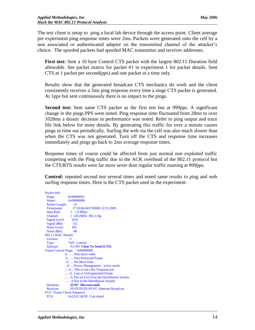The test client is setup to ping a local lab device through the access point. Client average pre experiment ping response times were 2ms. Packets were generated onto the cell by a non associated or authenticated adapter on the transmitted channel of the attacker's choice. The spoofed packets had spoofed MAC transmitter and receiver addresses.

**First test:** Sent a 10 byte Control CTS packet with the largest 802.11 Duration field allowable. See packet matrix for packet #1 in experiment 1 for packet details. Sent CTS at 1 packet per second(pps) and one packet at a time only.

Results show that the generated broadcast CTS mechanics do work and the client consistently receives a 3ms ping response every time a singe CTS packet is generated. At 1pps but sent continuously there is no impact to the pings.

**Second test:** Sent same CTS packet as the first test but at 999pps. A significant change in the pings PPS were noted. Ping response time fluctuated from 28ms to over 1028ms a drastic decrease in performance was noted. Refer to ping output and trace file link below for more details. By generating this traffic for over a minute causes pings to time out periodically. Surfing the web via the cell was also much slower than when the CTS was not generated. Turn off the CTS and response time increases immediately and pings go back to 2ms average response times.

Response times of course could be affected from just normal non exploited traffic competing with the Ping traffic due to the ACK overhead of the 802.11 protocol but the CTS/RTS results were far more sever than regular traffic running at 999pps.

**Control:** repeated second test several times and noted same results to ping and web surfing response times. Here is the CTS packet used in the experiment:

```
Packet Info
Flags: 0x00000001<br>Status: 0x00000000
                0x00000000
 Packet Length: 14
 Timestamp: 17:26:06.843750000 12/31/2005
Data Rate: 2 \t1.0 \text{ Mbps}<br>Channel: 1 \t2412 \text{MHz}1 2412MHz 802.11bg
 Signal Level: 62%
Signal dBm: -33Noise Level: 0%<br>Noise dBm: 98
Noise dBm:
802.11 MAC Header
Version: 0
 Type: %01 Control
 Subtype: %1100 Clear To Send (CTS)
Frame Control Flags: %00000000
              0... .... Non-strict order
              .0.. .... Non-Protected Frame
               ..0. .... No More Data
               ...0 .... Power Management - active mode
               .... 0... This is not a Re-Transmission
               .... .0.. Last or Unfragmented Frame
               .... ..0. Not an Exit from the Distribution System
              .... ...0 Not to the Distribution System
 Duration: 32767 Microseconds
                  Receiver: FF:FF:FF:FF:FF:FF Ethernet Broadcast
FCS - Frame Check Sequence
 FCS: 0x2A2CAE5E Calculated
```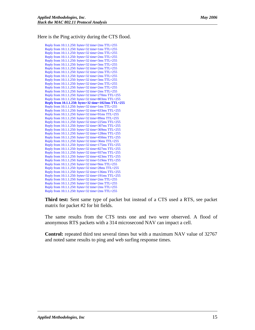Here is the Ping activity during the CTS flood.

Reply from 10.1.1.250: bytes=32 time=2ms TTL=255 Reply from 10.1.1.250: bytes=32 time=1ms TTL=255 Reply from 10.1.1.250: bytes=32 time=2ms TTL=255 Reply from 10.1.1.250: bytes=32 time=2ms TTL=255 Reply from 10.1.1.250: bytes=32 time=3ms TTL=255 Reply from 10.1.1.250: bytes=32 time=3ms TTL=255 Reply from 10.1.1.250: bytes=32 time=2ms TTL=255 Reply from 10.1.1.250: bytes=32 time=2ms TTL=255 Reply from 10.1.1.250: bytes=32 time=2ms TTL=255 Reply from 10.1.1.250: bytes=32 time=3ms TTL=255 Reply from 10.1.1.250: bytes=32 time=2ms TTL=255 Reply from 10.1.1.250: bytes=32 time=2ms TTL=255 Reply from 10.1.1.250: bytes=32 time=2ms TTL=255 Reply from 10.1.1.250: bytes=32 time=270ms TTL=255 Reply from 10.1.1.250: bytes=32 time=803ms TTL=255 **Reply from 10.1.1.250: bytes=32 time=1023ms TTL=255** Reply from  $10.1.1.250$ : bytes=32 time=1ms TTL=255 Reply from 10.1.1.250: bytes=32 time=633ms TTL=255 Reply from 10.1.1.250: bytes=32 time=91ms TTL=255 Reply from 10.1.1.250: bytes=32 time=89ms TTL=255 Reply from 10.1.1.250: bytes=32 time=225ms TTL=255 Reply from 10.1.1.250: bytes=32 time=307ms TTL=255 Reply from 10.1.1.250: bytes=32 time=369ms TTL=255 Reply from 10.1.1.250: bytes=32 time=128ms TTL=255 Reply from 10.1.1.250: bytes=32 time=450ms TTL=255 Reply from 10.1.1.250: bytes=32 time=36ms TTL=255 Reply from 10.1.1.250: bytes=32 time=175ms TTL=255 Reply from 10.1.1.250: bytes=32 time=827ms TTL=255 Reply from 10.1.1.250: bytes=32 time=937ms TTL=255 Reply from 10.1.1.250: bytes=32 time=423ms TTL=255 Reply from 10.1.1.250: bytes=32 time=519ms TTL=255 Reply from  $10.1.1.250$ : bytes=32 time=9ms TTL=255 Reply from 10.1.1.250: bytes=32 time=28ms TTL=255 Reply from 10.1.1.250: bytes=32 time=136ms TTL=255 Reply from 10.1.1.250: bytes=32 time=191ms TTL=255 Reply from 10.1.1.250: bytes=32 time=2ms TTL=255 Reply from 10.1.1.250: bytes=32 time=2ms TTL=255 Reply from 10.1.1.250: bytes=32 time=2ms TTL=255 Reply from 10.1.1.250: bytes=32 time=2ms TTL=255

**Third test:** Sent same type of packet but instead of a CTS used a RTS, see packet matrix for packet #2 for bit fields.

The same results from the CTS tests one and two were observed. A flood of anonymous RTS packets with a 314 microsecond NAV can impact a cell.

**Control:** repeated third test several times but with a maximum NAV value of 32767 and noted same results to ping and web surfing response times.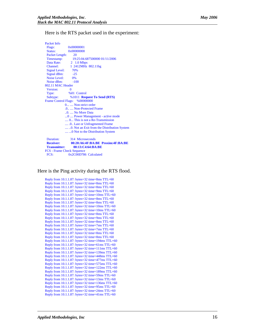Here is the RTS packet used in the experiment:

Packet Info Flags: 0x00000001 Status: 0x00000000 Packet Length: 20 Timestamp: 19:25:04.687500000 01/11/2006 Data Rate: 2 1.0 Mbps Channel: 1 2412MHz 802.11bg Signal Level: 70% Signal dBm: -25 Noise Level: 0% Noise dBm:  $-100$ 802.11 MAC Header Version: 0 Type: %01 Control<br>Subtype: %1011 Req %1011 **Request To Send (RTS)** Frame Control Flags: %00000000 0... .... Non-strict order .0.. .... Non-Protected Frame ..0. .... No More Data ...0 .... Power Management - active mode .... 0... This is not a Re-Transmission .... .0.. Last or Unfragmented Frame .... ..0. Not an Exit from the Distribution System .... ...0 Not to the Distribution System Duration: 314 Microseconds  **Receiver: 00:20:A6:4F:BA:BE Proxim:4F:BA:BE Transmitter: 00:13:C4:64:BA:BE** FCS - Frame Check Sequence FCS: 0x2C00D786 Calculated

Here is the Ping activity during the RTS flood.

Reply from 10.1.1.87: bytes=32 time=8ms TTL=60 Reply from 10.1.1.87: bytes=32 time=8ms TTL=60 Reply from 10.1.1.87: bytes=32 time=8ms TTL=60 Reply from 10.1.1.87: bytes=32 time=9ms TTL=60 Reply from  $10.1.1.87$ : bytes=32 time= $10ms$  TTL=60 Reply from 10.1.1.87: bytes=32 time=8ms TTL=60 Reply from  $10.1.1.87$ : bytes=32 time=8ms TTL=60 Reply from 10.1.1.87: bytes=32 time=10ms TTL=60 Reply from 10.1.1.87: bytes=32 time=10ms TTL=60 Reply from 10.1.1.87: bytes=32 time=8ms TTL=60 Reply from 10.1.1.87: bytes=32 time=9ms TTL=60 Reply from 10.1.1.87: bytes=32 time=8ms TTL=60 Reply from 10.1.1.87: bytes=32 time=7ms TTL=60 Reply from 10.1.1.87: bytes=32 time=7ms TTL=60 Reply from 10.1.1.87: bytes=32 time=8ms TTL=60 Reply from 10.1.1.87: bytes=32 time=8ms TTL=60 Reply from 10.1.1.87: bytes=32 time=194ms TTL=60 Reply from 10.1.1.87: bytes=32 time=61ms TTL=60 Reply from 10.1.1.87: bytes=32 time=111ms TTL=60 Reply from 10.1.1.87: bytes=32 time=139ms TTL=60 Reply from 10.1.1.87: bytes=32 time=448ms TTL=60 Reply from 10.1.1.87: bytes=32 time=477ms TTL=60 Reply from 10.1.1.87: bytes=32 time=575ms TTL=60 Reply from 10.1.1.87: bytes=32 time=122ms TTL=60 Reply from 10.1.1.87: bytes=32 time=189ms TTL=60 Reply from 10.1.1.87: bytes=32 time=59ms TTL=60 Reply from 10.1.1.87: bytes=32 time=13ms TTL=60 Reply from 10.1.1.87: bytes=32 time=136ms TTL=60 Reply from 10.1.1.87: bytes=32 time=95ms TTL=60 Reply from 10.1.1.87: bytes=32 time=24ms TTL=60 Reply from 10.1.1.87: bytes=32 time=41ms TTL=60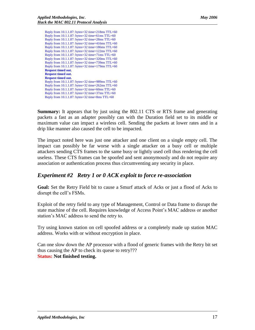| <b>May 2006</b> |
|-----------------|
|                 |

| Reply from 10.1.1.87: bytes=32 time=218ms TTL=60        |
|---------------------------------------------------------|
| Reply from $10.1.1.87$ : bytes=32 time=61ms TTL=60      |
| Reply from $10.1.1.87$ : bytes=32 time=28ms TTL=60      |
| Reply from $10.1.1.87$ : bytes=32 time=416ms TTL=60     |
| Reply from $10.1.1.87$ : bytes=32 time=186ms TTL=60     |
| Reply from $10.1.1.87$ : bytes=32 time= $122$ ms TTL=60 |
| Reply from $10.1.1.87$ : bytes=32 time=71ms TTL=60      |
| Reply from $10.1.1.87$ : bytes=32 time=320ms TTL=60     |
| Reply from 10.1.1.87: bytes=32 time=739ms TTL=60        |
| Reply from 10.1.1.87: bytes=32 time=179ms TTL=60        |
| <b>Request timed out.</b>                               |
| <b>Request timed out.</b>                               |
| <b>Request timed out.</b>                               |
| Reply from 10.1.1.87: bytes=32 time=989ms TTL=60        |
| Reply from $10.1.1.87$ : bytes=32 time=262ms TTL=60     |
| Reply from $10.1.1.87$ : bytes=32 time=60ms TTL=60      |
| Reply from $10.1.1.87$ : bytes=32 time=37ms TTL=60      |
| Reply from $10.1.1.87$ : bytes=32 time=8ms TTL=60       |

**Summary:** It appears that by just using the 802.11 CTS or RTS frame and generating packets a fast as an adapter possibly can with the Duration field set to its middle or maximum value can impact a wireless cell. Sending the packets at lower rates and in a drip like manner also caused the cell to be impacted.

The impact noted here was just one attacker and one client on a single empty cell. The impact can possibly be far worse with a single attacker on a busy cell or multiple attackers sending CTS frames to the same busy or lightly used cell thus rendering the cell useless. These CTS frames can be spoofed and sent anonymously and do not require any association or authentication process thus circumventing any security in place.

# <span id="page-16-0"></span>*Experiment #2 Retry 1 or 0 ACK exploit to force re-association*

**Goal:** Set the Retry Field bit to cause a Smurf attack of Acks or just a flood of Acks to disrupt the cell's FSMs.

Exploit of the retry field to any type of Management, Control or Data frame to disrupt the state machine of the cell. Requires knowledge of Access Point's MAC address or another station's MAC address to send the retry to.

Try using known station on cell spoofed address or a completely made up station MAC address. Works with or without encryption in place.

Can one slow down the AP processor with a flood of generic frames with the Retry bit set thus causing the AP to check its queue to retry??? **Status: Not finished testing.**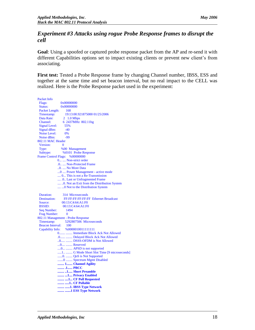# <span id="page-17-0"></span>*Experiment #3 Attacks using rogue Probe Response frames to disrupt the cell*

**Goal**: Using a spoofed or captured probe response packet from the AP and re-send it with different Capabilities options set to impact existing clients or prevent new client's from associating.

**First test:** Tested a Probe Response frame by changing Channel number, IBSS, ESS and together at the same time and set beacon interval, but no real impact to the CELL was realized. Here is the Probe Response packet used in the experiment:

Packet Info Flags: 0x00000000 Status: 0x00000000 Packet Length: 168<br>Timestamp: 19:1 Timestamp: 19:13:00.921875000 01/25/2006 Data Rate: 2 1.0 Mbps Channel: 6 2437MHz 802.11bg<br>Signal Level: 55% Signal Level: Signal dBm:  $-40$ <br>Noise Level: 0% Noise Level: Noise dBm:  $-99$ 802.11 MAC Header Version: 0 Type: %00 Management Subtype: %0101 Probe Response Frame Control Flags: %00000000 0... .... Non-strict order .0.. .... Non-Protected Frame ..0. .... No More Data ...0 .... Power Management - active mode .... 0... This is not a Re-Transmission .... .0.. Last or Unfragmented Frame .... ..0. Not an Exit from the Distribution System .... ...0 Not to the Distribution System Duration: 314 Microseconds Destination: FF:FF:FF:FF:FF:FF Ethernet Broadcast Source: 00:13:C4:64:A1:F0 BSSID: 00:13:C4:64:A1:F0 Seq Number: 1494<br>Frag Number: 0 Frag Number: 802.11 Management - Probe Response Timestamp: 5292807506 Microseconds Beacon Interval: 100<br>Capability Info: %00 %00000100111111111 0....... ........ Immediate Block Ack Not Allowed .0...... ........ Delayed Block Ack Not Allowed ..0..... ........ DSSS-OFDM is Not Allowed ...0.... ........ Reserved ....0... ........ APSD is not supported .....1.. ........ G Mode Short Slot Time [9 microseconds] ......0. ........ QoS is Not Supported .......0 ........ Spectrum Mgmt Disabled  **........ 1....... Channel Agility ........ .1...... PBCC ........ ..1..... Short Preamble ........ ...1.... Privacy Enabled ........ ....1... CF Poll Requested ........ .....1.. CF Pollable ........ ......1. IBSS Type Network ........ .......1 ESS Type Network**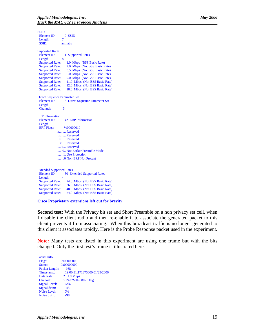| <b>SSID</b>                                                                       |                                           |
|-----------------------------------------------------------------------------------|-------------------------------------------|
| Element ID:                                                                       | 0 SSID                                    |
| Length:                                                                           | 7                                         |
| SSID:                                                                             | amilabs                                   |
| <b>Supported Rates</b>                                                            |                                           |
| Element ID:                                                                       | 1 Supported Rates                         |
| Length:                                                                           | 8                                         |
| <b>Supported Rate:</b>                                                            | 1.0 Mbps (BSS Basic Rate)                 |
| <b>Supported Rate:</b>                                                            | 2.0 Mbps (Not BSS Basic Rate)             |
| <b>Supported Rate:</b>                                                            | 5.5 Mbps (Not BSS Basic Rate)             |
| <b>Supported Rate:</b>                                                            | 6.0 Mbps (Not BSS Basic Rate)             |
| <b>Supported Rate:</b>                                                            | 9.0 Mbps (Not BSS Basic Rate)             |
| <b>Supported Rate:</b>                                                            | 11.0 Mbps (Not BSS Basic Rate)            |
| <b>Supported Rate:</b>                                                            | 12.0 Mbps (Not BSS Basic Rate)            |
| <b>Supported Rate:</b>                                                            | 18.0 Mbps (Not BSS Basic Rate)            |
| <b>Direct Sequence Parameter Set</b><br><b>Element ID:</b><br>Length:<br>Channel: | 3 Direct Sequence Parameter Set<br>1<br>6 |
| <b>ERP</b> Information                                                            |                                           |
| Element ID:                                                                       | 42 ERP Information                        |
| Length:                                                                           | 1                                         |
| <b>ERP Flags:</b>                                                                 | %00000010                                 |
|                                                                                   | x  Reserved                               |
|                                                                                   | .x  Reserved                              |
|                                                                                   | x.  Reserved                              |
|                                                                                   | x  Reserved                               |
|                                                                                   | x Reserved                                |
|                                                                                   | .0 Not Barker Preamble Mode               |
|                                                                                   | 1. Use Protection                         |
|                                                                                   | 0 Non-ERP Not Present                     |
|                                                                                   |                                           |
| <b>Extended Supported Rates</b>                                                   |                                           |
| Element ID:                                                                       | <b>50 Extended Supported Rates</b>        |
| Length:                                                                           | $\overline{\mathbf{4}}$                   |
| <b>Supported Rate:</b>                                                            | 24.0 Mbps (Not BSS Basic Rate)            |

**Cisco Proprietary extensions left out for brevity**

54.0 Mbps (Not BSS Basic Rate)

 Supported Rate: 36.0 Mbps (Not BSS Basic Rate) Supported Rate: 48.0 Mbps (Not BSS Basic Rate)<br>Supported Rate: 54.0 Mbps (Not BSS Basic Rate)

**Second test:** With the Privacy bit set and Short Preamble on a non privacy set cell, when I disable the client radio and then re-enable it to associate the generated packet to this client prevents it from associating. When this broadcast traffic is no longer generated to this client it associates rapidly. Here is the Probe Response packet used in the experiment.

**Note:** Many tests are listed in this experiment are using one frame but with the bits changed. Only the first test's frame is illustrated here.

| Packet Info    |                               |
|----------------|-------------------------------|
| Flags:         | 0x00000000                    |
| Status:        | 0x00000000                    |
| Packet Length: | 168                           |
| Timestamp:     | 19:00:31.171875000 01/25/2006 |
| Data Rate:     | 2 1.0 Mbps                    |
| Channel:       | 6 2437MHz 802.11bg            |
| Signal Level:  | 52%                           |
| Signal dBm:    | $-43$                         |
| Noise Level:   | 0%                            |
| Noise dBm:     | $-98$                         |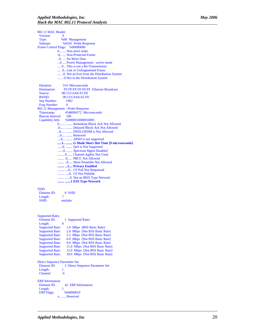| 802.11 MAC Header |                                                            |
|-------------------|------------------------------------------------------------|
| Version:          | $\theta$                                                   |
| Type:             | %00 Management                                             |
| Subtype:          | %0101 Probe Response                                       |
|                   | Frame Control Flags: %00000000                             |
|                   | 0  Non-strict order                                        |
|                   | .0.  Non-Protected Frame                                   |
|                   | 0.  No More Data                                           |
|                   | 0  Power Management - active mode                          |
|                   | , 0 This is not a Re-Transmission                          |
|                   | .0. Last or Unfragmented Frame                             |
|                   | 0. Not an Exit from the Distribution System                |
|                   | 0 Not to the Distribution System                           |
| <b>Duration:</b>  | 314 Microseconds                                           |
|                   | Destination: FF:FF:FF:FF:FF:FF:FF Ethernet Broadcast       |
| Source:           | 00:13:C4:64:A1:F0                                          |
| <b>BSSID:</b>     | 00:13:C4:64:A1:F0                                          |
| Seq Number:       | 1962                                                       |
| Frag Number:      | $\overline{\mathbf{0}}$                                    |
|                   | 802.11 Management - Probe Response                         |
| Timestamp:        | 4548694172 Microseconds                                    |
|                   | Beacon Interval: 100<br>Capability Info: %0000010000010001 |
|                   |                                                            |
|                   | 0  Immediate Block Ack Not Allowed                         |
|                   | .0  Delayed Block Ack Not Allowed                          |
|                   | 0  DSSS-OFDM is Not Allowed                                |
|                   | 0  Reserved                                                |
|                   | 0  APSD is not supported                                   |
|                   | 1  G Mode Short Slot Time [9 microseconds]                 |
|                   | 0.  QoS is Not Supported                                   |
|                   | 0  Spectrum Mgmt Disabled                                  |
|                   | 0 Channel Agility Not Used<br>.0 PBCC Not Allowed          |
|                   | O Short Preamble Not Allowed                               |
|                   |                                                            |
|                   | 1 Privacy Enabled<br>O CF Poll Not Requested               |
|                   | O CF Not Pollable                                          |
|                   |                                                            |
|                   | 1 ESS Type Network                                         |
|                   |                                                            |
| SSID              |                                                            |

### **SS**

| $0$ SSID |
|----------|
| π        |
| amilabs  |
|          |

| 1 Supported Rates                                        |
|----------------------------------------------------------|
| 8                                                        |
| 1.0 Mbps (BSS Basic Rate)                                |
| 2.0 Mbps (Not BSS Basic Rate)                            |
| <b>Supported Rate:</b><br>5.5 Mbps (Not BSS Basic Rate)  |
| <b>Supported Rate:</b><br>6.0 Mbps (Not BSS Basic Rate)  |
| <b>Supported Rate:</b><br>9.0 Mbps (Not BSS Basic Rate)  |
| <b>Supported Rate:</b><br>11.0 Mbps (Not BSS Basic Rate) |
| <b>Supported Rate:</b><br>12.0 Mbps (Not BSS Basic Rate) |
| 18.0 Mbps (Not BSS Basic Rate)<br><b>Supported Rate:</b> |
| Direct Sequence Parameter Set                            |
| 3 Direct Sequence Parameter Set                          |
| 1                                                        |
| 6                                                        |
|                                                          |
| 42 ERP Information                                       |
| 1                                                        |
| <b>ERP Flags:</b> %00000010                              |
| x  Reserved                                              |
|                                                          |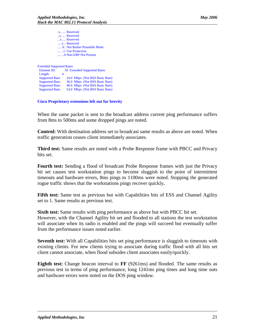.x.. .... Reserved ..x. .... Reserved ...x .... Reserved .... x... Reserved .... .0.. Not Barker Preamble Mode .... ..1. Use Protection .... ...0 Non-ERP Not Present

Extended Supported Rates Element ID: 50 Extended Supported Rates Length: 4 Supported Rate: 24.0 Mbps (Not BSS Basic Rate)<br>Supported Rate: 36.0 Mbps (Not BSS Basic Rate) Supported Rate: 36.0 Mbps (Not BSS Basic Rate) Supported Rate: 48.0 Mbps (Not BSS Basic Rate) Supported Rate: 54.0 Mbps (Not BSS Basic Rate)

**Cisco Proprietary extensions left out for brevity**

When the same packet is sent to the broadcast address current ping performance suffers from 8ms to 500ms and some dropped pings are noted.

**Control:** With destination address set to broadcast same results as above are noted. When traffic generation ceases client immediately associates.

**Third test:** Same results are noted with a Probe Response frame with PBCC and Privacy bits set.

**Fourth test:** Sending a flood of broadcast Probe Response frames with just the Privacy bit set causes test workstation pings to become sluggish to the point of intermittent timeouts and hardware errors, 8ms pings to 1100ms were noted. Stopping the generated rogue traffic shows that the workstations pings recover quickly**.** 

**Fifth test:** Same test as previous but with Capabilities bits of ESS and Channel Agility set to 1. Same results as previous test.

**Sixth test:** Same results with ping performance as above but with PBCC bit set. However, with the Channel Agility bit set and flooded to all stations the test workstation will associate when its radio is enabled and the pings will succeed but eventually suffer from the performance issues noted earlier.

**Seventh test:** With all Capabilities bits set ping performance is sluggish to timeouts with existing clients. For new clients trying to associate during traffic flood with all bits set client cannot associate, when flood subsides client associates easily/quickly.

**Eighth test:** Change beacon interval to **FF** (9261ms) and flooded. The same results as previous test in terms of ping performance, long 1241ms ping times and long time outs and hardware errors were noted on the DOS ping window.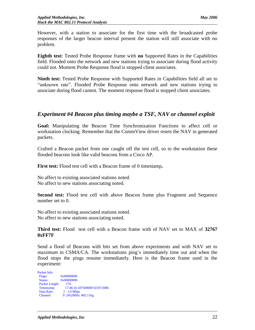However, with a station to associate for the first time with the broadcasted probe responses of the larger beacon interval present the station will still associate with no problem.

**Eighth test:** Tested Probe Response frame with **no** Supported Rates in the Capabilities field. Flooded onto the network and new stations trying to associate during flood activity could not. Moment Probe Response flood is stopped client associates.

**Ninth test:** Tested Probe Response with Supported Rates in Capabilities field all set to "unknown rate". Flooded Probe Response onto network and new stations trying to associate during flood cannot. The moment response flood is stopped client associates.

# <span id="page-21-0"></span>*Experiment #4 Beacon plus timing maybe a TSF, NAV or channel exploit*

**Goal:** Manipulating the Beacon Time Synchronization Functions to affect cell or workstation clocking. Remember that the CommView driver resets the NAV in generated packets.

Crafted a Beacon packet from one caught off the test cell, so to the workstation these flooded beacons look like valid beacons from a Cisco AP.

**First test:** Flood test cell with a Beacon frame of 0 timestamp**.**

No affect to existing associated stations noted. No affect to new stations associating noted.

**Second test:** Flood test cell with above Beacon frame plus Fragment and Sequence number set to 0.

No affect to existing associated stations noted. No affect to new stations associating noted.

**Third test:** Flood test cell with a Beacon frame with of NAV set to MAX of **32767 0xFF7F** 

Send a flood of Beacons with bits set from above experiments and with NAV set to maximum in CSMA/CA. The workstations ping's immediately time out and when the flood stops the pings resume immediately. Here is the Beacon frame used in the experiment:

| 0x00000000                    |
|-------------------------------|
| 0x00000000                    |
| 174                           |
| 17:46:16.187500000 02/07/2006 |
| 2 1.0 Mbps                    |
| 9 2452MHz 802.11bg            |
|                               |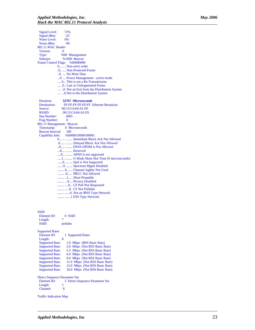Signal Level: 72% Signal dBm:  $-23$ <br>Noise Level: 0% Noise Level: 0%<br>Noise dBm: -99 Noise dBm: 802.11 MAC Header Version: 0 Type: %00 Management Subtype: %1000 Beacon Frame Control Flags: %00000000 0... .... Non-strict order .0.. .... Non-Protected Frame ..0. .... No More Data ...0 .... Power Management - active mode .... 0... This is not a Re-Transmission .... .0.. Last or Unfragmented Frame .... ..0. Not an Exit from the Distribution System .... ...0 Not to the Distribution System Duration: **32767 Microseconds** Destination: FF:FF:FF:FF:FF:FF Ethernet Broadcast Source: 00:13:C4:64:A1:F0<br>BSSID: 00:13:C4:64:A1:F0 00:13:C4:64:A1:F0<br>4005 Seq Number: 40<br>Frag Number: 0 Frag Number: 802.11 Management - Beacon 0 Microseconds Beacon Interval: 100<br>Capability Info: %00 %0000010000100001 0....... ........ Immediate Block Ack Not Allowed .0...... ........ Delayed Block Ack Not Allowed ..0..... ........ DSSS-OFDM is Not Allowed ...0.... ........ Reserved ....0... ........ APSD is not supported .....1.. ........ G Mode Short Slot Time [9 microseconds] ......0. ........ QoS is Not Supported .......0 ........ Spectrum Mgmt Disabled ........ 0....... Channel Agility Not Used ........ .0...... PBCC Not Allowed ........ ..1..... Short Preamble ........ ...0.... Privacy Disabled ........ ....0... CF Poll Not Requested ........ .....0.. CF Not Pollable ........ ......0. Not an IBSS Type Network ........ .......1 ESS Type Network

#### **SSID**

| Element ID:                          | 0 SSID                                   |
|--------------------------------------|------------------------------------------|
| Length:                              | 7                                        |
| SSID:                                | amilabs                                  |
| <b>Supported Rates</b>               |                                          |
| Element ID:                          | 1 Supported Rates                        |
| Length:                              | 8                                        |
| <b>Supported Rate:</b>               | 1.0 Mbps (BSS Basic Rate)                |
| <b>Supported Rate:</b>               | 2.0 Mbps (Not BSS Basic Rate)            |
| <b>Supported Rate:</b>               | 5.5 Mbps (Not BSS Basic Rate)            |
| <b>Supported Rate:</b>               | 6.0 Mbps (Not BSS Basic Rate)            |
| <b>Supported Rate:</b>               | 9.0 Mbps (Not BSS Basic Rate)            |
| <b>Supported Rate:</b>               | 11.0 Mbps (Not BSS Basic Rate)           |
| <b>Supported Rate:</b>               | 12.0 Mbps (Not BSS Basic Rate)           |
| <b>Supported Rate:</b>               | 18.0 Mbps (Not BSS Basic Rate)           |
| <b>Direct Sequence Parameter Set</b> |                                          |
| $F$ lement $IP$                      | <b>3. Direct Sequence Parameter Set.</b> |

 Element ID: 3 Direct Sequence Parameter Set Length: 1<br>Channel: 9 Channel:

Traffic Indication Map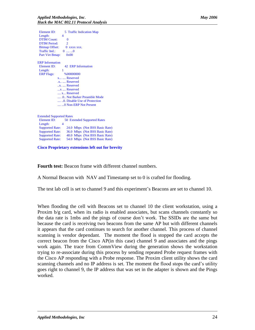Element ID: 5 Traffic Indication Map Length: 4 DTIM Count: 0<br>DTIM Period: 2 DTIM Period:  $\begin{tabular}{ll} \bf{Bitmap\,Offset:} & 0 & xxxx xxx. \\ \bf{Traffic\,Ind.:} & 0 & .......0 \end{tabular}$ Traffic Ind.: Part Virt Bmap: 0x00 ERP Information Element ID: 42 ERP Information<br>Length: 1 Length: ERP Flags: %00000000 x... .... Reserved .x.. .... Reserved ..x. .... Reserved ...x .... Reserved .... x... Reserved .... .0.. Not Barker Preamble Mode .... ..0. Disable Use of Protection .... ...0 Non-ERP Not Present Extended Supported Rates Element ID: 50 Extended Supported Rates<br>Length: 4 Length:<br>Supported Rate: 24.0 Mbps (Not BSS Basic Rate) Supported Rate: 36.0 Mbps (Not BSS Basic Rate) Supported Rate: 48.0 Mbps (Not BSS Basic Rate)

#### Supported Rate: 54.0 Mbps (Not BSS Basic Rate)

**Cisco Proprietary extensions left out for brevity**

**Fourth test:** Beacon frame with different channel numbers.

A Normal Beacon with NAV and Timestamp set to 0 is crafted for flooding.

The test lab cell is set to channel 9 and this experiment's Beacons are set to channel 10.

When flooding the cell with Beacons set to channel 10 the client workstation, using a Proxim b/g card, when its radio is enabled associates, but scans channels constantly so the data rate is 1mbs and the pings of course don't work. The SSIDs are the same but because the card is receiving two beacons from the same AP but with different channels it appears that the card continues to search for another channel. This process of channel scanning is vendor dependant. The moment the flood is stopped the card accepts the correct beacon from the Cisco AP(in this case) channel 9 and associates and the pings work again. The trace from CommView during the generation shows the workstation trying to re-associate during this process by sending repeated Probe request frames with the Cisco AP responding with a Probe response. The Proxim client utility shows the card scanning channels and no IP address is set. The moment the flood stops the card's utility goes right to channel 9, the IP address that was set in the adapter is shown and the Pings worked.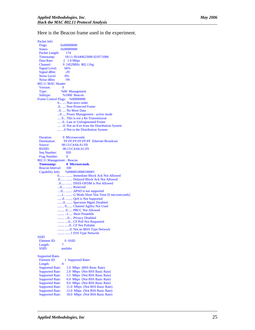Here is the Beacon frame used in the experiment.

Packet Info<br>Flags: 0x00000000 Status: 0x00000000 Packet Length: 174 Timestamp: 18:11:39.640625000 02/07/2006<br>Data Rate: 2 1.0 Mbps 2 1.0 Mbps Channel: 9 2452MHz 802.11bg<br>Signal Level: 66% Signal Level: Signal dBm:  $-29$ <br>0% Noise Level: Noise dBm:  $-99$ 802.11 MAC Header Version: 0 Type: %00 Management Subtype: %1000 Beacon Frame Control Flags: %00000000 0... .... Non -strict order .0.. .... Non -Protected Frame ..0. .... No More Data ...0 .... Power Management - active mode .... 0... This is not a Re -Transmission .... .0.. Last or Unfragmented Frame .... ..0. Not an Exit from the Distribution System .... ...0 Not to the Distribution System Duration: 0 Microseconds<br>Destination: FE:FE:FE:FE Destination: FF:FF:FF:FF:FF:FF Ethernet Broadcast Source: 00:13:C4:64:A1:F0<br>BSSID: 00:13:C4:64:A1:F0 00:13:C4:64:A1:F0 Seq Number: 920<br>Frag Number: 0 Frag Number: 802.11 Management - Beacon  **Timestamp: 0 Microseconds** Beacon Interval: 100<br>Capability Info: %00 %0000010000100001 0....... ........ Immediate Block Ack Not Allowed .0...... ........ Delayed Block Ack Not Allowed ..0..... ........ DSSS -OFDM is Not Allowed ...0.... ........ Reserved ....0... ........ APSD is not supported .....1.. ........ G Mode Short Slot Time [9 microseconds] ......0. ........ QoS is Not Supported .......0 ........ Spectrum Mgmt Disabled ........ 0....... Channel Agility Not Used ........ .0...... PBCC Not Allowed ........ ..1..... Short Preamble ........ ...0.... Privacy Disabled ........ ....0... CF Poll Not Requested ........ .....0.. CF Not Pollable ........ ......0. Not an IBSS Type Network ........ .......1 ESS Type Network **SSID**  Element ID: 0 SSID Length: 7 SSID: amilabs Supported Rates<br>Element ID: 1 Supported Rates Length: 8<br>Supported Rate: Supported Rate: 1.0 Mbps (BSS Basic Rate)<br>Supported Rate: 2.0 Mbps (Not BSS Basic R Supported Rate: 2.0 Mbps (Not BSS Basic Rate)<br>Supported Rate: 5.5 Mbps (Not BSS Basic Rate) 5.5 Mbps (Not BSS Basic Rate) Supported Rate: 6.0 Mbps (Not BSS Basic Rate)<br>Supported Rate: 9.0 Mbps (Not BSS Basic Rate) Supported Rate: 9.0 Mbps (Not BSS Basic Rate)<br>Supported Rate: 11.0 Mbps (Not BSS Basic Rate) Supported Rate: 11.0 Mbps (Not BSS Basic Rate)<br>Supported Rate: 12.0 Mbps (Not BSS Basic Rate) 12.0 Mbps (Not BSS Basic Rate) Supported Rate: 18.0 Mbps (Not BSS Basic Rate)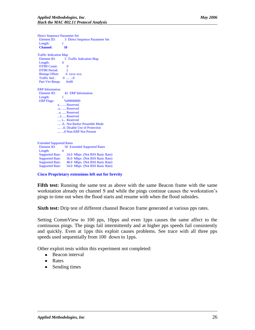Direct Sequence Parameter Set<br>Element ID: 3 Direct Set 3 Direct Sequence Parameter Set Length:  **Channel: 10** Traffic Indication Map Element ID: 5 Traffic Indication Map<br>Length: 4 Length: DTIM Count: 0 DTIM Period: 2<br>Bitmap Offset: 0 xxxx xxx. Bitmap Offset: Traffic Ind.: 0 .... ...0 Part Virt Bmap: 0x00 ERP Information Element ID: 42 ERP Information<br>Length: 1 Length: 1<br>ERP Flags:  $\frac{\%00000000}{\%000000000}$ ERP Flags: x... .... Reserved .x.. .... Reserved ..x. .... Reserved ...x .... Reserved .... x... Reserved .... .0.. Not Barker Preamble Mode .... ..0. Disable Use of Protection .... ... 0 Non-ERP Not Present Extended Supported Rates Element ID: 50 Extended Supported Rates<br>Length: 4 Length: 4<br>Supported Rate:

Supported Rate: 24.0 Mbps (Not BSS Basic Rate)<br>Supported Rate: 36.0 Mbps (Not BSS Basic Rate) 36.0 Mbps (Not BSS Basic Rate) Supported Rate: 48.0 Mbps (Not BSS Basic Rate) Supported Rate: 54.0 Mbps (Not BSS Basic Rate)

**Cisco Proprietary extensions left out for brevity**

**Fifth test:** Running the same test as above with the same Beacon frame with the same workstation already on channel 9 and while the pings continue causes the workstation's pings to time out when the flood starts and resume with when the flood subsides.

**Sixth test:** Drip test of different channel Beacon frame generated at various pps rates.

Setting CommView to 100 pps, 10pps and even 1pps causes the same affect to the continuous pings. The pings fail intermittently and at higher pps speeds fail consistently and quickly. Even at 1pps this exploit causes problems. See trace with all three pps speeds used sequentially from 100 down to 1pps.

Other exploit tests within this experiment not completed:

- Beacon interval
- Rates  $\bullet$
- Sending times $\bullet$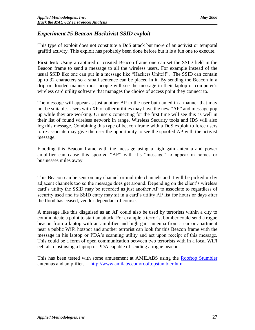# <span id="page-26-0"></span>*Experiment #5 Beacon Hacktivist SSID exploit*

This type of exploit does not constitute a DoS attack but more of an activist or temporal graffiti activity. This exploit has probably been done before but it is a fun one to execute.

**First test:** Using a captured or created Beacon frame one can set the SSID field in the Beacon frame to send a message to all the wireless users. For example instead of the usual SSID like one can put in a message like "Hackers Unite!!". The SSID can contain up to 32 characters so a small sentence can be placed in it. By sending the Beacon in a drip or flooded manner most people will see the message in their laptop or computer's wireless card utility software that manages the choice of access point they connect to.

The message will appear as just another AP to the user but named in a manner that may not be suitable. Users with XP or other utilities may have the new "AP" and message pop up while they are working. Or users connecting for the first time will see this as well in their list of found wireless network in range. Wireless Security tools and IDS will also log this message. Combining this type of beacon frame with a DoS exploit to force users to re-associate may give the user the opportunity to see the spoofed AP with the activist message.

Flooding this Beacon frame with the message using a high gain antenna and power amplifier can cause this spoofed "AP" with it's "message" to appear in homes or businesses miles away.

This Beacon can be sent on any channel or multiple channels and it will be picked up by adjacent channels too so the message does get around. Depending on the client's wireless card's utility the SSID may be recorded as just another AP to associate to regardless of security used and its SSID entry may sit in a card's utility AP list for hours or days after the flood has ceased, vendor dependant of course.

A message like this disguised as an AP could also be used by terrorists within a city to communicate a point to start an attack. For example a terrorist bomber could send a rogue beacon from a laptop with an amplifier and high gain antenna from a car or apartment near a public WiFi hotspot and another terrorist can look for this Beacon frame with the message in his laptop or PDA's scanning utility and act upon receipt of this message. This could be a form of open communication between two terrorists with in a local WiFi cell also just using a laptop or PDA capable of sending a rogue beacon.

This has been tested with some amusement at AMILABS using the [Rooftop Stumbler](http://www.amilabs.com/rooftopstumbler.htm) antennas and amplifier. <http://www.amilabs.com/rooftopstumbler.htm>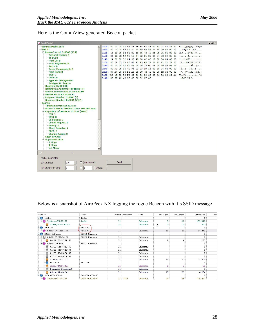Here is the CommView generated Beacon packet

| <b>Wireless Packet Info</b><br>$0x00$ : 80 00 00 00 FF FF FF FF FF FF 00 13 C4 64 A1 FO $\epsilon$ yyyyyyAd a<br>0.802.11<br>0x10: 00 13 C4 64 A1 F0 10 B9 92 81 A3 36 00 00 00 00<br>$$ Adjð. <sup>2</sup> ' $\square$ £6<br>E-Frame Control: 0x0080 (128)<br>0x20: 64 00 21 04 00 07 48 41 43 4B 21 21 21 01 08 82 d.l HACK!!!<br><b>Protocol version: 0</b><br>0x30: 04 0B 0C 12 16 18 24 03 01 09 05 04 00 02 00 00<br>. S<br>To $DS: 0$<br>0x40: 2A 01 00 32 04 30 48 60 6C 85 1E 00 00 84 00 0F *2.0H 1<br>From DS: 0<br>$.9$ HACK !!!!!!!.<br>0x50: 00 FF 03 19 00 48 41 43 4B 21 21 21 21 21 21 00<br>More Fragments: 0<br>$$ $8Y8-.$<br>0x60: 00 00 00 00 00 01 00 00 25 DD 06 00 40 96 01 01<br>Retry: 0<br>$\hat{Y} \cdot \hat{S} - \hat{Y} \cdot \hat{S} - \hat{S} - \hat{S}$<br>0x70: 00 DD 05 00 40 96 03 03 DD 16 00 40 96 04 00 02<br><b>Power Management: 0</b><br>.H., #H., BC., b2.<br>More Data: 0<br>0x80: 07 A4 00 00 23 A4 00 00 42 43 00 00 62 32 00 00<br>WEP: 0<br>0x90: DD 18 00 50 F2 02 01 01 02 00 03 A4 00 00 27 A4 YPo<br>Order: 0<br>0xA0: 00 00 42 43 5E 00 62 32 2F 00<br>$BCA, b2/$ .<br>Type: 0 - Management<br>Subtype: 8 - Beacon<br>Duration: 0x0000 (0)<br><b>Destination Address: FF:FF:FF:FF:FF:FF</b><br>Source Address: 00:13:C4:64:A1:F0<br>BSS ID: 00:13:C4:64:A1:F0<br>Fragment Number: 0x0000 (0)<br>Sequence Number: 0x0B91 (2961)<br>E Beacon<br>Timestamp: 916.685202 sec<br>Beacon Interval: 0x0064 (100) - 102.400 msec<br>□ Capability Information: 0x0421 (1057)<br><b>ESS: 1</b><br><b>IBSS: 0</b><br><b>CF-Pollable: 0</b><br><b>CF-Poll Request: 0</b> |  |  |  |  |  |  |  |  |  |
|-------------------------------------------------------------------------------------------------------------------------------------------------------------------------------------------------------------------------------------------------------------------------------------------------------------------------------------------------------------------------------------------------------------------------------------------------------------------------------------------------------------------------------------------------------------------------------------------------------------------------------------------------------------------------------------------------------------------------------------------------------------------------------------------------------------------------------------------------------------------------------------------------------------------------------------------------------------------------------------------------------------------------------------------------------------------------------------------------------------------------------------------------------------------------------------------------------------------------------------------------------------------------------------------------------------------------------------------------------------------------------------------------------------------------------------------------------------------------------------------------------------------------------------------------------------------------------------------------------------------|--|--|--|--|--|--|--|--|--|
|                                                                                                                                                                                                                                                                                                                                                                                                                                                                                                                                                                                                                                                                                                                                                                                                                                                                                                                                                                                                                                                                                                                                                                                                                                                                                                                                                                                                                                                                                                                                                                                                                   |  |  |  |  |  |  |  |  |  |
|                                                                                                                                                                                                                                                                                                                                                                                                                                                                                                                                                                                                                                                                                                                                                                                                                                                                                                                                                                                                                                                                                                                                                                                                                                                                                                                                                                                                                                                                                                                                                                                                                   |  |  |  |  |  |  |  |  |  |
|                                                                                                                                                                                                                                                                                                                                                                                                                                                                                                                                                                                                                                                                                                                                                                                                                                                                                                                                                                                                                                                                                                                                                                                                                                                                                                                                                                                                                                                                                                                                                                                                                   |  |  |  |  |  |  |  |  |  |
|                                                                                                                                                                                                                                                                                                                                                                                                                                                                                                                                                                                                                                                                                                                                                                                                                                                                                                                                                                                                                                                                                                                                                                                                                                                                                                                                                                                                                                                                                                                                                                                                                   |  |  |  |  |  |  |  |  |  |
|                                                                                                                                                                                                                                                                                                                                                                                                                                                                                                                                                                                                                                                                                                                                                                                                                                                                                                                                                                                                                                                                                                                                                                                                                                                                                                                                                                                                                                                                                                                                                                                                                   |  |  |  |  |  |  |  |  |  |
|                                                                                                                                                                                                                                                                                                                                                                                                                                                                                                                                                                                                                                                                                                                                                                                                                                                                                                                                                                                                                                                                                                                                                                                                                                                                                                                                                                                                                                                                                                                                                                                                                   |  |  |  |  |  |  |  |  |  |
|                                                                                                                                                                                                                                                                                                                                                                                                                                                                                                                                                                                                                                                                                                                                                                                                                                                                                                                                                                                                                                                                                                                                                                                                                                                                                                                                                                                                                                                                                                                                                                                                                   |  |  |  |  |  |  |  |  |  |
|                                                                                                                                                                                                                                                                                                                                                                                                                                                                                                                                                                                                                                                                                                                                                                                                                                                                                                                                                                                                                                                                                                                                                                                                                                                                                                                                                                                                                                                                                                                                                                                                                   |  |  |  |  |  |  |  |  |  |
|                                                                                                                                                                                                                                                                                                                                                                                                                                                                                                                                                                                                                                                                                                                                                                                                                                                                                                                                                                                                                                                                                                                                                                                                                                                                                                                                                                                                                                                                                                                                                                                                                   |  |  |  |  |  |  |  |  |  |
|                                                                                                                                                                                                                                                                                                                                                                                                                                                                                                                                                                                                                                                                                                                                                                                                                                                                                                                                                                                                                                                                                                                                                                                                                                                                                                                                                                                                                                                                                                                                                                                                                   |  |  |  |  |  |  |  |  |  |
|                                                                                                                                                                                                                                                                                                                                                                                                                                                                                                                                                                                                                                                                                                                                                                                                                                                                                                                                                                                                                                                                                                                                                                                                                                                                                                                                                                                                                                                                                                                                                                                                                   |  |  |  |  |  |  |  |  |  |
|                                                                                                                                                                                                                                                                                                                                                                                                                                                                                                                                                                                                                                                                                                                                                                                                                                                                                                                                                                                                                                                                                                                                                                                                                                                                                                                                                                                                                                                                                                                                                                                                                   |  |  |  |  |  |  |  |  |  |
|                                                                                                                                                                                                                                                                                                                                                                                                                                                                                                                                                                                                                                                                                                                                                                                                                                                                                                                                                                                                                                                                                                                                                                                                                                                                                                                                                                                                                                                                                                                                                                                                                   |  |  |  |  |  |  |  |  |  |
|                                                                                                                                                                                                                                                                                                                                                                                                                                                                                                                                                                                                                                                                                                                                                                                                                                                                                                                                                                                                                                                                                                                                                                                                                                                                                                                                                                                                                                                                                                                                                                                                                   |  |  |  |  |  |  |  |  |  |
|                                                                                                                                                                                                                                                                                                                                                                                                                                                                                                                                                                                                                                                                                                                                                                                                                                                                                                                                                                                                                                                                                                                                                                                                                                                                                                                                                                                                                                                                                                                                                                                                                   |  |  |  |  |  |  |  |  |  |
|                                                                                                                                                                                                                                                                                                                                                                                                                                                                                                                                                                                                                                                                                                                                                                                                                                                                                                                                                                                                                                                                                                                                                                                                                                                                                                                                                                                                                                                                                                                                                                                                                   |  |  |  |  |  |  |  |  |  |
|                                                                                                                                                                                                                                                                                                                                                                                                                                                                                                                                                                                                                                                                                                                                                                                                                                                                                                                                                                                                                                                                                                                                                                                                                                                                                                                                                                                                                                                                                                                                                                                                                   |  |  |  |  |  |  |  |  |  |
|                                                                                                                                                                                                                                                                                                                                                                                                                                                                                                                                                                                                                                                                                                                                                                                                                                                                                                                                                                                                                                                                                                                                                                                                                                                                                                                                                                                                                                                                                                                                                                                                                   |  |  |  |  |  |  |  |  |  |
|                                                                                                                                                                                                                                                                                                                                                                                                                                                                                                                                                                                                                                                                                                                                                                                                                                                                                                                                                                                                                                                                                                                                                                                                                                                                                                                                                                                                                                                                                                                                                                                                                   |  |  |  |  |  |  |  |  |  |
|                                                                                                                                                                                                                                                                                                                                                                                                                                                                                                                                                                                                                                                                                                                                                                                                                                                                                                                                                                                                                                                                                                                                                                                                                                                                                                                                                                                                                                                                                                                                                                                                                   |  |  |  |  |  |  |  |  |  |
|                                                                                                                                                                                                                                                                                                                                                                                                                                                                                                                                                                                                                                                                                                                                                                                                                                                                                                                                                                                                                                                                                                                                                                                                                                                                                                                                                                                                                                                                                                                                                                                                                   |  |  |  |  |  |  |  |  |  |
|                                                                                                                                                                                                                                                                                                                                                                                                                                                                                                                                                                                                                                                                                                                                                                                                                                                                                                                                                                                                                                                                                                                                                                                                                                                                                                                                                                                                                                                                                                                                                                                                                   |  |  |  |  |  |  |  |  |  |
|                                                                                                                                                                                                                                                                                                                                                                                                                                                                                                                                                                                                                                                                                                                                                                                                                                                                                                                                                                                                                                                                                                                                                                                                                                                                                                                                                                                                                                                                                                                                                                                                                   |  |  |  |  |  |  |  |  |  |
|                                                                                                                                                                                                                                                                                                                                                                                                                                                                                                                                                                                                                                                                                                                                                                                                                                                                                                                                                                                                                                                                                                                                                                                                                                                                                                                                                                                                                                                                                                                                                                                                                   |  |  |  |  |  |  |  |  |  |
|                                                                                                                                                                                                                                                                                                                                                                                                                                                                                                                                                                                                                                                                                                                                                                                                                                                                                                                                                                                                                                                                                                                                                                                                                                                                                                                                                                                                                                                                                                                                                                                                                   |  |  |  |  |  |  |  |  |  |
|                                                                                                                                                                                                                                                                                                                                                                                                                                                                                                                                                                                                                                                                                                                                                                                                                                                                                                                                                                                                                                                                                                                                                                                                                                                                                                                                                                                                                                                                                                                                                                                                                   |  |  |  |  |  |  |  |  |  |
|                                                                                                                                                                                                                                                                                                                                                                                                                                                                                                                                                                                                                                                                                                                                                                                                                                                                                                                                                                                                                                                                                                                                                                                                                                                                                                                                                                                                                                                                                                                                                                                                                   |  |  |  |  |  |  |  |  |  |
| Privacy: 0<br><b>Short Preamble: 1</b>                                                                                                                                                                                                                                                                                                                                                                                                                                                                                                                                                                                                                                                                                                                                                                                                                                                                                                                                                                                                                                                                                                                                                                                                                                                                                                                                                                                                                                                                                                                                                                            |  |  |  |  |  |  |  |  |  |
| PBCC: 0                                                                                                                                                                                                                                                                                                                                                                                                                                                                                                                                                                                                                                                                                                                                                                                                                                                                                                                                                                                                                                                                                                                                                                                                                                                                                                                                                                                                                                                                                                                                                                                                           |  |  |  |  |  |  |  |  |  |
| <b>Channel Agility: 0</b>                                                                                                                                                                                                                                                                                                                                                                                                                                                                                                                                                                                                                                                                                                                                                                                                                                                                                                                                                                                                                                                                                                                                                                                                                                                                                                                                                                                                                                                                                                                                                                                         |  |  |  |  |  |  |  |  |  |
| <b>SSID: HACK!!!</b>                                                                                                                                                                                                                                                                                                                                                                                                                                                                                                                                                                                                                                                                                                                                                                                                                                                                                                                                                                                                                                                                                                                                                                                                                                                                                                                                                                                                                                                                                                                                                                                              |  |  |  |  |  |  |  |  |  |
| E Supported rates                                                                                                                                                                                                                                                                                                                                                                                                                                                                                                                                                                                                                                                                                                                                                                                                                                                                                                                                                                                                                                                                                                                                                                                                                                                                                                                                                                                                                                                                                                                                                                                                 |  |  |  |  |  |  |  |  |  |
| $-1$ Mbps                                                                                                                                                                                                                                                                                                                                                                                                                                                                                                                                                                                                                                                                                                                                                                                                                                                                                                                                                                                                                                                                                                                                                                                                                                                                                                                                                                                                                                                                                                                                                                                                         |  |  |  |  |  |  |  |  |  |
| 2 Mbps                                                                                                                                                                                                                                                                                                                                                                                                                                                                                                                                                                                                                                                                                                                                                                                                                                                                                                                                                                                                                                                                                                                                                                                                                                                                                                                                                                                                                                                                                                                                                                                                            |  |  |  |  |  |  |  |  |  |
| 5.5 Mbps                                                                                                                                                                                                                                                                                                                                                                                                                                                                                                                                                                                                                                                                                                                                                                                                                                                                                                                                                                                                                                                                                                                                                                                                                                                                                                                                                                                                                                                                                                                                                                                                          |  |  |  |  |  |  |  |  |  |
| $\Sigma$<br>▲                                                                                                                                                                                                                                                                                                                                                                                                                                                                                                                                                                                                                                                                                                                                                                                                                                                                                                                                                                                                                                                                                                                                                                                                                                                                                                                                                                                                                                                                                                                                                                                                     |  |  |  |  |  |  |  |  |  |
| Packet Generator                                                                                                                                                                                                                                                                                                                                                                                                                                                                                                                                                                                                                                                                                                                                                                                                                                                                                                                                                                                                                                                                                                                                                                                                                                                                                                                                                                                                                                                                                                                                                                                                  |  |  |  |  |  |  |  |  |  |
| C Continuously<br>Send                                                                                                                                                                                                                                                                                                                                                                                                                                                                                                                                                                                                                                                                                                                                                                                                                                                                                                                                                                                                                                                                                                                                                                                                                                                                                                                                                                                                                                                                                                                                                                                            |  |  |  |  |  |  |  |  |  |
| $\frac{1}{\sqrt{2}}$<br>170<br>Packet size:                                                                                                                                                                                                                                                                                                                                                                                                                                                                                                                                                                                                                                                                                                                                                                                                                                                                                                                                                                                                                                                                                                                                                                                                                                                                                                                                                                                                                                                                                                                                                                       |  |  |  |  |  |  |  |  |  |
| $\frac{1}{\sqrt{2}}$<br>$\frac{1}{\sqrt{2}}$ time(s)<br>Packets per second:<br>$C _1$                                                                                                                                                                                                                                                                                                                                                                                                                                                                                                                                                                                                                                                                                                                                                                                                                                                                                                                                                                                                                                                                                                                                                                                                                                                                                                                                                                                                                                                                                                                             |  |  |  |  |  |  |  |  |  |
|                                                                                                                                                                                                                                                                                                                                                                                                                                                                                                                                                                                                                                                                                                                                                                                                                                                                                                                                                                                                                                                                                                                                                                                                                                                                                                                                                                                                                                                                                                                                                                                                                   |  |  |  |  |  |  |  |  |  |

# Below is a snapshot of AiroPeek NX logging the rogue Beacon with it's SSID message

| Node $-$                       | <b>ESSID</b>   |         | Channel Encryption | Trust          | Cur. Signal    | Max. Signal    | <b>Bytes Sent</b> | Byte |
|--------------------------------|----------------|---------|--------------------|----------------|----------------|----------------|-------------------|------|
| $\boxminus$ $\ominus$<br>leahl | leahl          |         |                    |                |                |                | 0                 |      |
| Linksys: F6:99:72<br>e.        | leahl          | 11      |                    | Unknown        | 3              | 11             | 151,919           |      |
| Linksys: 69:A4:CF              |                | 11      |                    | Unknown        | 5<br>ド         | 6              | 362               |      |
| $\Box$ e<br>HACK!!!            | HACK!!!        |         |                    |                |                |                | 0                 |      |
| 00:13:04:64:Al:F0              | HACK!!!        | 11      |                    | Unknown        | 19             | 28             | 14,442            |      |
| ⊟€<br>ESSID Unknown            | ESSID Unknown  |         |                    |                |                |                | 0                 |      |
| 00:0F:B5:E7:3A:F8<br>日付        | ESSID Unknown  | 11      |                    | Unknown        |                |                | $\mathbf 0$       |      |
| 00:12:F0:9C:1E:56              |                | 11      |                    | Unknown        | $\mathbf{1}$   | 4              | 267               |      |
| $\Theta$<br>BSSID Unknown      | ESSID Unknown  |         |                    |                |                |                | $\mathbf 0$       |      |
| 01:00:5E:7F:FF:FD              |                | 11      |                    | <b>Unknown</b> |                |                | $\theta$          |      |
| 01:00:5E:7F:FF:FA              |                | $_{11}$ |                    | Unknown        |                |                | 0                 |      |
| 01:00:5E:00:00:09              |                | 11      |                    | Unknown        |                |                | 0                 |      |
| 01:00:5E:00:00:01              |                | 11      |                    | Unknown        |                |                | $\mathbf{0}$      |      |
| Proxim: OA: F5:22              |                | 11      |                    | Unknown        | 18             | 28             | 1,380             |      |
| <b>NETGEAR</b>                 | <b>NETGEAR</b> |         |                    |                |                |                | 0                 |      |
| Intel: 4A: B6: 6A              |                | 11      |                    | Unknown        | $\overline{c}$ | $\overline{c}$ | 92                |      |
| Ethernet Broadcast             |                | 11      |                    | Unknown        |                |                | $\Omega$          |      |
| Askey: 8A: 40:60               |                | 11      |                    | Unknown:       | 19             | 26             | 4,184             |      |
| $\Box$<br>0x000000000000       | 0x000000000000 |         |                    |                |                |                | $\Omega$          |      |
| Asustek: 5A: 47:D5             | 0x000000000000 | 11      | <b>TKIP</b>        | Unknown        | 44             | 48             | 404, 477          |      |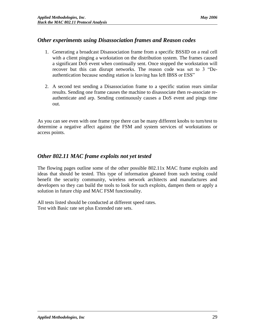# <span id="page-28-0"></span>*Other experiments using Disassociation frames and Reason codes*

- 1. Generating a broadcast Disassociation frame from a specific BSSID on a real cell with a client pinging a workstation on the distribution system. The frames caused a significant DoS event when continually sent. Once stopped the workstation will recover but this can disrupt networks. The reason code was set to 3 "Deauthentication because sending station is leaving has left IBSS or ESS"
- 2. A second test sending a Disassociation frame to a specific station rears similar results. Sending one frame causes the machine to disassociate then re-associate reauthenticate and arp. Sending continuously causes a DoS event and pings time out.

As you can see even with one frame type there can be many different knobs to turn/test to determine a negative affect against the FSM and system services of workstations or access points.

# <span id="page-28-1"></span>*Other 802.11 MAC frame exploits not yet tested*

The flowing pages outline some of the other possible 802.11x MAC frame exploits and ideas that should be tested. This type of information gleaned from such testing could benefit the security community, wireless network architects and manufactures and developers so they can build the tools to look for such exploits, dampen them or apply a solution in future chip and MAC FSM functionality.

All tests listed should be conducted at different speed rates. Test with Basic rate set plus Extended rate sets.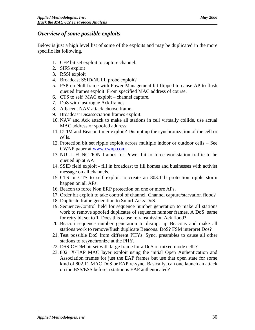# <span id="page-29-0"></span>*Overview of some possible exploits*

Below is just a high level list of some of the exploits and may be duplicated in the more specific list following.

- 1. CFP bit set exploit to capture channel.
- 2. SIFS exploit
- 3. RSSI exploit
- 4. Broadcast SSID/NULL probe exploit?
- 5. PSP on Null frame with Power Management bit flipped to cause AP to flush queued frames exploit. From specified MAC address of course.
- 6. CTS to self MAC exploit channel capture.
- 7. DoS with just rogue Ack frames.
- 8. Adjacent NAV attack choose frame.
- 9. Broadcast Disassociation frames exploit.
- 10. NAV and Ack attack to make all stations in cell virtually collide, use actual MAC address or spoofed address.
- 11. DTIM and Beacon timer exploit? Disrupt up the synchronization of the cell or cells.
- 12. Protection bit set ripple exploit across multiple indoor or outdoor cells See CWNP paper at [www.cwnp.com.](http://www.cwnp.com/)
- 13. NULL FUNCTION frames for Power bit to force workstation traffic to be queued up at AP.
- 14. SSID field exploit fill in broadcast to fill homes and businesses with activist message on all channels.
- 15. CTS or CTS to self exploit to create an 803.11b protection ripple storm happen on all APs.
- 16. Beacon to force Non ERP protection on one or more APs.
- 17. Order bit exploit to take control of channel. Channel capture/starvation flood?
- 18. Duplicate frame generation to Smurf Acks DoS.
- 19. Sequence/Control field for sequence number generation to make all stations work to remove spoofed duplicates of sequence number frames. A DoS same for retry bit set to 1. Does this cause retransmission Ack flood?
- 20. Beacon sequence number generation to disrupt up Beacons and make all stations work to remove/flush duplicate Beacons. DoS? FSM interpret Dos?
- 21. Test possible DoS from different PHYs. Sync. preambles to cause all other stations to resynchronize at the PHY.
- 22. DSS-OFDM bit set with large frame for a DoS of mixed mode cells?
- 23. 802.1X/EAP MAC layer exploit using the initial Open Authentication and Association frames for just the EAP frames but use that open state for some kind of 802.11 MAC DoS or EAP re-sync. Basically, can one launch an attack on the BSS/ESS before a station is EAP authenticated?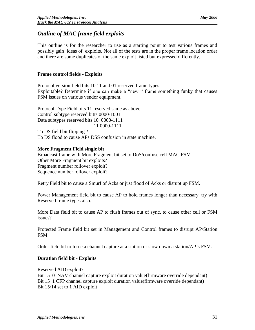# <span id="page-30-0"></span>*Outline of MAC frame field exploits*

This outline is for the researcher to use as a starting point to test various frames and possibly gain ideas of exploits. Not all of the tests are in the proper frame location order and there are some duplicates of the same exploit listed but expressed differently.

# **Frame control fields - Exploits**

Protocol version field bits 10 11 and 01 reserved frame types. Exploitable? Determine if one can make a "new " frame something funky that causes FSM issues on various vendor equipment.

Protocol Type Field bits 11 reserved same as above Control subtype reserved bitts 0000-1001 Data subtypes reserved bits 10 0000-1111 11 0000-1111 To DS field bit flipping ?

To DS flood to cause APs DSS confusion in state machine.

# **More Fragment Field single bit**

Broadcast frame with More Fragment bit set to DoS/confuse cell MAC FSM Other More Fragment bit exploits? Fragment number rollover exploit? Sequence number rollover exploit?

Retry Field bit to cause a Smurf of Acks or just flood of Acks or disrupt up FSM.

Power Management field bit to cause AP to hold frames longer than necessary, try with Reserved frame types also.

More Data field bit to cause AP to flush frames out of sync. to cause other cell or FSM issues?

Protected Frame field bit set in Management and Control frames to disrupt AP/Station FSM.

Order field bit to force a channel capture at a station or slow down a station/AP's FSM.

# **Duration field bit - Exploits**

Reserved AID exploit? Bit 15 0 NAV channel capture exploit duration value(firmware override dependant) Bit 15 1 CFP channel capture exploit duration value(firmware override dependant) Bit 15/14 set to 1 AID exploit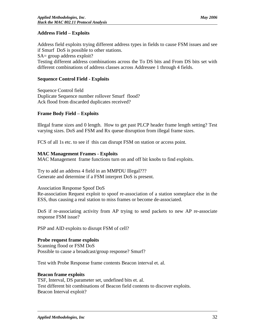### **Address Field – Exploits**

Address field exploits trying different address types in fields to cause FSM issues and see if Smurf DoS is possible to other stations. SA= group address exploit? Testing different address combinations across the To DS bits and From DS bits set with

different combinations of address classes across Addressee 1 through 4 fields.

#### **Sequence Control Field - Exploits**

Sequence Control field Duplicate Sequence number rollover Smurf flood? Ack flood from discarded duplicates received?

#### **Frame Body Field – Exploits**

Illegal frame sizes and 0 length. How to get past PLCP header frame length setting? Test varying sizes. DoS and FSM and Rx queue disruption from illegal frame sizes.

FCS of all 1s etc. to see if this can disrupt FSM on station or access point.

#### **MAC Management Frames - Exploits**

MAC Management frame functions turn on and off bit knobs to find exploits.

Try to add an address 4 field in an MMPDU Illegal??? Generate and determine if a FSM interpret DoS is present.

#### Association Response Spoof DoS

Re-association Request exploit to spoof re-association of a station someplace else in the ESS, thus causing a real station to miss frames or become de-associated.

DoS if re-associating activity from AP trying to send packets to new AP re-associate response FSM issue?

PSP and AID exploits to disrupt FSM of cell?

#### **Probe request frame exploits**

Scanning flood or FSM DoS Possible to cause a broadcast/group response? Smurf?

Test with Probe Response frame contents Beacon interval et. al.

#### **Beacon frame exploits**

TSF, Interval, DS parameter set, undefined bits et. al. Test different bit combinations of Beacon field contents to discover exploits. Beacon Interval exploit?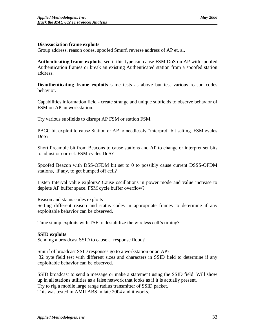Group address, reason codes, spoofed Smurf, reverse address of AP et. al.

**Authenticating frame exploits**, see if this type can cause FSM DoS on AP with spoofed Authentication frames or break an existing Authenticated station from a spoofed station address.

**Deauthenticating frame exploits** same tests as above but test various reason codes behavior.

Capabilities information field - create strange and unique subfields to observe behavior of FSM on AP an workstation.

Try various subfields to disrupt AP FSM or station FSM.

PBCC bit exploit to cause Station or AP to needlessly "interpret" bit setting. FSM cycles DoS?

Short Preamble bit from Beacons to cause stations and AP to change or interpret set bits to adjust or correct. FSM cycles DoS?

Spoofed Beacon with DSS-OFDM bit set to 0 to possibly cause current DSSS-OFDM stations, if any, to get bumped off cell?

Listen Interval value exploits? Cause oscillations in power mode and value increase to deplete AP buffer space. FSM cycle buffer overflow?

Reason and status codes exploits

Setting different reason and status codes in appropriate frames to determine if any exploitable behavior can be observed.

Time stamp exploits with TSF to destabilize the wireless cell's timing?

# **SSID exploits**

Sending a broadcast SSID to cause a response flood?

Smurf of broadcast SSID responses go to a workstation or an AP? 32 byte field test with different sizes and characters in SSID field to determine if any exploitable behavior can be observed.

SSID broadcast to send a message or make a statement using the SSID field. Will show up in all stations utilities as a false network that looks as if it is actually present. Try to rig a mobile large range radius transmitter of SSID packet. This was tested in AMILABS in late 2004 and it works.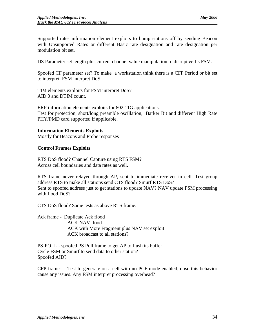Supported rates information element exploits to bump stations off by sending Beacon with Unsupported Rates or different Basic rate designation and rate designation per modulation bit set.

DS Parameter set length plus current channel value manipulation to disrupt cell's FSM.

Spoofed CF parameter set? To make a workstation think there is a CFP Period or bit set to interpret. FSM interpret DoS

TIM elements exploits for FSM interpret DoS? AID 0 and DTIM count.

ERP information elements exploits for 802.11G applications. Test for protection, short/long preamble oscillation, Barker Bit and different High Rate PHY/PMD card supported if applicable.

#### **Information Elements Exploits**

Mostly for Beacons and Probe responses

#### **Control Frames Exploits**

RTS DoS flood? Channel Capture using RTS FSM? Across cell boundaries and data rates as well.

RTS frame never relayed through AP, sent to immediate receiver in cell. Test group address RTS to make all stations send CTS flood? Smurf RTS DoS? Sent to spoofed address just to get stations to update NAV? NAV update FSM processing with flood DoS?

CTS DoS flood? Same tests as above RTS frame.

Ack frame - Duplicate Ack flood ACK NAV flood ACK with More Fragment plus NAV set exploit ACK broadcast to all stations?

PS-POLL - spoofed PS Poll frame to get AP to flush its buffer Cycle FSM or Smurf to send data to other station? Spoofed AID?

CFP frames – Test to generate on a cell with no PCF mode enabled, dose this behavior cause any issues. Any FSM interpret processing overhead?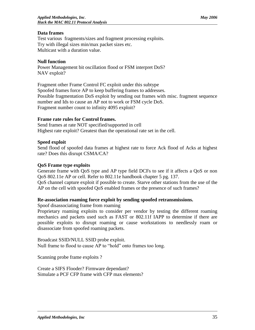### **Data frames**

Test various fragments/sizes and fragment processing exploits. Try with illegal sizes min/max packet sizes etc. Multicast with a duration value.

#### **Null function**

Power Management bit oscillation flood or FSM interpret DoS? NAV exploit?

Fragment other Frame Control FC exploit under this subtype Spoofed frames force AP to keep buffering frames to addresses. Possible fragmentation DoS exploit by sending out frames with misc. fragment sequence number and Ids to cause an AP not to work or FSM cycle DoS. Fragment number count to infinity 4095 exploit?

### **Frame rate rules for Control frames.**

Send frames at rate NOT specified/supported in cell Highest rate exploit? Greatest than the operational rate set in the cell.

#### **Speed exploit**

Send flood of spoofed data frames at highest rate to force Ack flood of Acks at highest rate? Does this disrupt CSMA/CA?

#### **QoS Frame type exploits**

Generate frame with QoS type and AP type field DCFs to see if it affects a QoS or non QoS 802.11e AP or cell. Refer to 802.11e handbook chapter 5 pg. 137.

QoS channel capture exploit if possible to create. Starve other stations from the use of the AP on the cell with spoofed QoS enabled frames or the presence of such frames?

#### **Re-association roaming force exploit by sending spoofed retransmissions.**

Spoof disassociating frame from roaming

Proprietary roaming exploits to consider per vendor by testing the different roaming mechanics and packets used such as FAST or 802.11f IAPP to determine if there are possible exploits to disrupt roaming or cause workstations to needlessly roam or disassociate from spoofed roaming packets.

Broadcast SSID/NULL SSID probe exploit. Null frame to flood to cause AP to "hold" onto frames too long.

Scanning probe frame exploits ?

Create a SIFS Flooder? Firmware dependant? Simulate a PCF CFP frame with CFP max elements?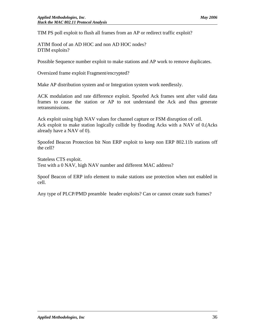TIM PS poll exploit to flush all frames from an AP or redirect traffic exploit?

ATIM flood of an AD HOC and non AD HOC nodes? DTIM exploits?

Possible Sequence number exploit to make stations and AP work to remove duplicates.

Oversized frame exploit Fragment/encrypted?

Make AP distribution system and or Integration system work needlessly.

ACK modulation and rate difference exploit. Spoofed Ack frames sent after valid data frames to cause the station or AP to not understand the Ack and thus generate retransmissions.

Ack exploit using high NAV values for channel capture or FSM disruption of cell. Ack exploit to make station logically collide by flooding Acks with a NAV of 0.(Acks already have a NAV of 0).

Spoofed Beacon Protection bit Non ERP exploit to keep non ERP 802.11b stations off the cell?

Stateless CTS exploit. Test with a 0 NAV, high NAV number and different MAC address?

Spoof Beacon of ERP info element to make stations use protection when not enabled in cell.

Any type of PLCP/PMD preamble header exploits? Can or cannot create such frames?